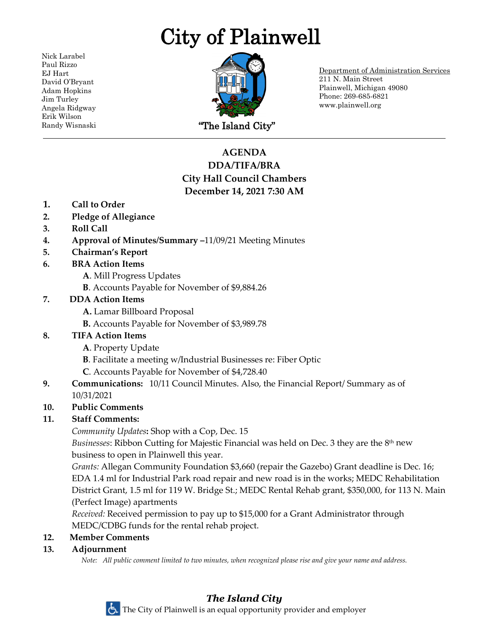# City of Plainwell

Nick Larabel Paul Rizzo EJ Hart David O'Bryant Adam Hopkins Jim Turley Angela Ridgway Erik Wilson



Department of Administration Services 211 N. Main Street Plainwell, Michigan 49080 Phone: 269-685-6821 www.plainwell.org

# **AGENDA DDA/TIFA/BRA City Hall Council Chambers December 14, 2021 7:30 AM**

- **1. Call to Order**
- **2. Pledge of Allegiance**
- **3. Roll Call**
- **4. Approval of Minutes/Summary –**11/09/21 Meeting Minutes
- **5. Chairman's Report**
- **6. BRA Action Items**
	- **A**. Mill Progress Updates
	- **B**. Accounts Payable for November of \$9,884.26

### **7. DDA Action Items**

- **A.** Lamar Billboard Proposal
- **B.** Accounts Payable for November of \$3,989.78
- **8. TIFA Action Items**
	- **A**. Property Update
	- **B**. Facilitate a meeting w/Industrial Businesses re: Fiber Optic
	- **C**. Accounts Payable for November of \$4,728.40
- **9. Communications:** 10/11 Council Minutes. Also, the Financial Report/ Summary as of 10/31/2021

#### **10. Public Comments**

# **11. Staff Comments:**

*Community Updates***:** Shop with a Cop, Dec. 15

*Businesses*: Ribbon Cutting for Majestic Financial was held on Dec. 3 they are the 8th new business to open in Plainwell this year.

*Grants:* Allegan Community Foundation \$3,660 (repair the Gazebo) Grant deadline is Dec. 16; EDA 1.4 ml for Industrial Park road repair and new road is in the works; MEDC Rehabilitation District Grant, 1.5 ml for 119 W. Bridge St.; MEDC Rental Rehab grant, \$350,000, for 113 N. Main (Perfect Image) apartments

*Received:* Received permission to pay up to \$15,000 for a Grant Administrator through MEDC/CDBG funds for the rental rehab project.

# **12. Member Comments**

#### **13. Adjournment**

*Note: All public comment limited to two minutes, when recognized please rise and give your name and address.*

#### *The Island City* The City of Plainwell is an equal opportunity provider and employer